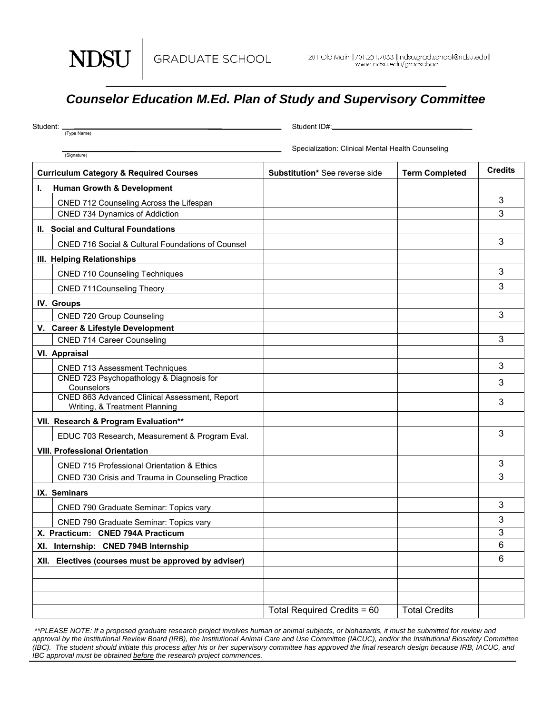GRADUATE SCHOOL

**NDSU** 

## *Counselor Education M.Ed. Plan of Study and Supervisory Committee*

| Student: _                        |                                                                                | Student ID#:_                                     |                       |                |
|-----------------------------------|--------------------------------------------------------------------------------|---------------------------------------------------|-----------------------|----------------|
|                                   | (Type Name)                                                                    | Specialization: Clinical Mental Health Counseling |                       |                |
|                                   | (Signature)                                                                    |                                                   |                       | <b>Credits</b> |
|                                   | <b>Curriculum Category &amp; Required Courses</b>                              | Substitution* See reverse side                    | <b>Term Completed</b> |                |
| L.                                | <b>Human Growth &amp; Development</b>                                          |                                                   |                       |                |
|                                   | CNED 712 Counseling Across the Lifespan                                        |                                                   |                       | 3<br>3         |
|                                   | <b>CNED 734 Dynamics of Addiction</b>                                          |                                                   |                       |                |
|                                   | II. Social and Cultural Foundations                                            |                                                   |                       |                |
|                                   | <b>CNED 716 Social &amp; Cultural Foundations of Counsel</b>                   |                                                   |                       | 3              |
|                                   | III. Helping Relationships                                                     |                                                   |                       |                |
|                                   | <b>CNED 710 Counseling Techniques</b>                                          |                                                   |                       | 3              |
|                                   | <b>CNED 711Counseling Theory</b>                                               |                                                   |                       | 3              |
|                                   | IV. Groups                                                                     |                                                   |                       |                |
|                                   | CNED 720 Group Counseling                                                      |                                                   |                       | 3              |
|                                   | V. Career & Lifestyle Development                                              |                                                   |                       |                |
|                                   | <b>CNED 714 Career Counseling</b>                                              |                                                   |                       | 3              |
|                                   | VI. Appraisal                                                                  |                                                   |                       |                |
|                                   | <b>CNED 713 Assessment Techniques</b>                                          |                                                   |                       | 3              |
|                                   | CNED 723 Psychopathology & Diagnosis for<br>Counselors                         |                                                   |                       | 3              |
|                                   | CNED 863 Advanced Clinical Assessment, Report<br>Writing, & Treatment Planning |                                                   |                       | 3              |
|                                   | VII. Research & Program Evaluation**                                           |                                                   |                       |                |
|                                   | EDUC 703 Research, Measurement & Program Eval.                                 |                                                   |                       | 3              |
|                                   | <b>VIII. Professional Orientation</b>                                          |                                                   |                       |                |
|                                   | <b>CNED 715 Professional Orientation &amp; Ethics</b>                          |                                                   |                       | 3              |
|                                   | CNED 730 Crisis and Trauma in Counseling Practice                              |                                                   |                       | 3              |
|                                   | IX. Seminars                                                                   |                                                   |                       |                |
|                                   | <b>CNED 790 Graduate Seminar: Topics vary</b>                                  |                                                   |                       | 3              |
|                                   | CNED 790 Graduate Seminar: Topics vary                                         |                                                   |                       | 3              |
| X. Practicum: CNED 794A Practicum |                                                                                |                                                   |                       | 3              |
|                                   | XI. Internship: CNED 794B Internship                                           |                                                   |                       | 6              |
|                                   | XII. Electives (courses must be approved by adviser)                           |                                                   |                       | 6              |
|                                   |                                                                                |                                                   |                       |                |
|                                   |                                                                                |                                                   |                       |                |
|                                   |                                                                                | Total Required Credits = 60                       | <b>Total Credits</b>  |                |

 *\*\*PLEASE NOTE: If a proposed graduate research project involves human or animal subjects, or biohazards, it must be submitted for review and*  approval by the Institutional Review Board (IRB), the Institutional Animal Care and Use Committee (IACUC), and/or the Institutional Biosafety Committee *(IBC). The student should initiate this process after his or her supervisory committee has approved the final research design because IRB, IACUC, and IBC approval must be obtained before the research project commences.*